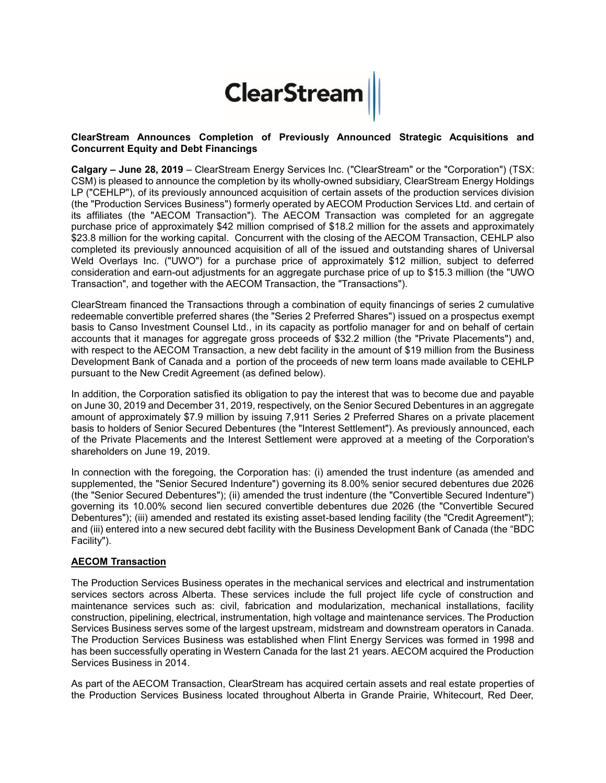# **ClearStrean**

## **ClearStream Announces Completion of Previously Announced Strategic Acquisitions and Concurrent Equity and Debt Financings**

**Calgary – June 28, 2019** – ClearStream Energy Services Inc. ("ClearStream" or the "Corporation") (TSX: CSM) is pleased to announce the completion by its wholly-owned subsidiary, ClearStream Energy Holdings LP ("CEHLP"), of its previously announced acquisition of certain assets of the production services division (the "Production Services Business") formerly operated by AECOM Production Services Ltd. and certain of its affiliates (the "AECOM Transaction"). The AECOM Transaction was completed for an aggregate purchase price of approximately \$42 million comprised of \$18.2 million for the assets and approximately \$23.8 million for the working capital. Concurrent with the closing of the AECOM Transaction, CEHLP also completed its previously announced acquisition of all of the issued and outstanding shares of Universal Weld Overlays Inc. ("UWO") for a purchase price of approximately \$12 million, subject to deferred consideration and earn-out adjustments for an aggregate purchase price of up to \$15.3 million (the "UWO Transaction", and together with the AECOM Transaction, the "Transactions").

ClearStream financed the Transactions through a combination of equity financings of series 2 cumulative redeemable convertible preferred shares (the "Series 2 Preferred Shares") issued on a prospectus exempt basis to Canso Investment Counsel Ltd., in its capacity as portfolio manager for and on behalf of certain accounts that it manages for aggregate gross proceeds of \$32.2 million (the "Private Placements") and, with respect to the AECOM Transaction, a new debt facility in the amount of \$19 million from the Business Development Bank of Canada and a portion of the proceeds of new term loans made available to CEHLP pursuant to the New Credit Agreement (as defined below).

In addition, the Corporation satisfied its obligation to pay the interest that was to become due and payable on June 30, 2019 and December 31, 2019, respectively, on the Senior Secured Debentures in an aggregate amount of approximately \$7.9 million by issuing 7,911 Series 2 Preferred Shares on a private placement basis to holders of Senior Secured Debentures (the "Interest Settlement"). As previously announced, each of the Private Placements and the Interest Settlement were approved at a meeting of the Corporation's shareholders on June 19, 2019.

In connection with the foregoing, the Corporation has: (i) amended the trust indenture (as amended and supplemented, the "Senior Secured Indenture") governing its 8.00% senior secured debentures due 2026 (the "Senior Secured Debentures"); (ii) amended the trust indenture (the "Convertible Secured Indenture") governing its 10.00% second lien secured convertible debentures due 2026 (the "Convertible Secured Debentures"); (iii) amended and restated its existing asset-based lending facility (the "Credit Agreement"); and (iii) entered into a new secured debt facility with the Business Development Bank of Canada (the "BDC Facility").

### **AECOM Transaction**

The Production Services Business operates in the mechanical services and electrical and instrumentation services sectors across Alberta. These services include the full project life cycle of construction and maintenance services such as: civil, fabrication and modularization, mechanical installations, facility construction, pipelining, electrical, instrumentation, high voltage and maintenance services. The Production Services Business serves some of the largest upstream, midstream and downstream operators in Canada. The Production Services Business was established when Flint Energy Services was formed in 1998 and has been successfully operating in Western Canada for the last 21 years. AECOM acquired the Production Services Business in 2014.

As part of the AECOM Transaction, ClearStream has acquired certain assets and real estate properties of the Production Services Business located throughout Alberta in Grande Prairie, Whitecourt, Red Deer,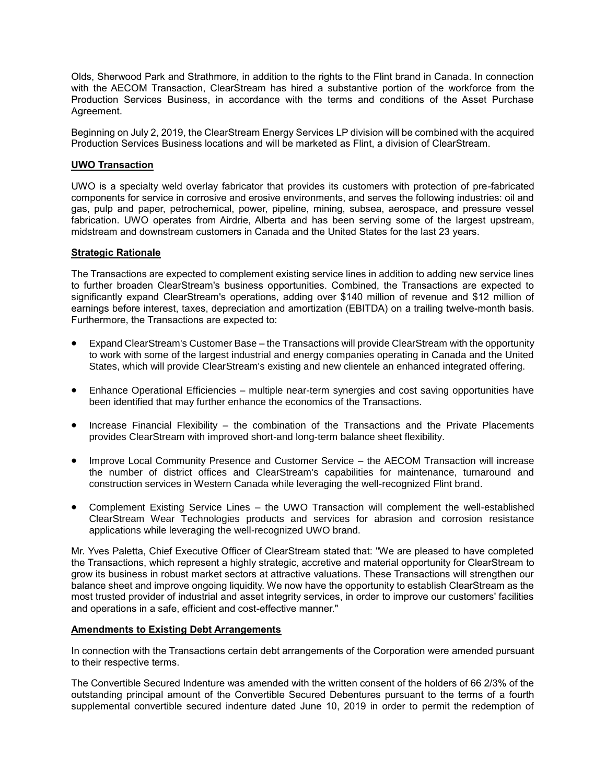Olds, Sherwood Park and Strathmore, in addition to the rights to the Flint brand in Canada. In connection with the AECOM Transaction, ClearStream has hired a substantive portion of the workforce from the Production Services Business, in accordance with the terms and conditions of the Asset Purchase Agreement.

Beginning on July 2, 2019, the ClearStream Energy Services LP division will be combined with the acquired Production Services Business locations and will be marketed as Flint, a division of ClearStream.

### **UWO Transaction**

UWO is a specialty weld overlay fabricator that provides its customers with protection of pre-fabricated components for service in corrosive and erosive environments, and serves the following industries: oil and gas, pulp and paper, petrochemical, power, pipeline, mining, subsea, aerospace, and pressure vessel fabrication. UWO operates from Airdrie, Alberta and has been serving some of the largest upstream, midstream and downstream customers in Canada and the United States for the last 23 years.

#### **Strategic Rationale**

The Transactions are expected to complement existing service lines in addition to adding new service lines to further broaden ClearStream's business opportunities. Combined, the Transactions are expected to significantly expand ClearStream's operations, adding over \$140 million of revenue and \$12 million of earnings before interest, taxes, depreciation and amortization (EBITDA) on a trailing twelve-month basis. Furthermore, the Transactions are expected to:

- Expand ClearStream's Customer Base the Transactions will provide ClearStream with the opportunity to work with some of the largest industrial and energy companies operating in Canada and the United States, which will provide ClearStream's existing and new clientele an enhanced integrated offering.
- Enhance Operational Efficiencies multiple near-term synergies and cost saving opportunities have been identified that may further enhance the economics of the Transactions.
- Increase Financial Flexibility the combination of the Transactions and the Private Placements provides ClearStream with improved short-and long-term balance sheet flexibility.
- Improve Local Community Presence and Customer Service the AECOM Transaction will increase the number of district offices and ClearStream's capabilities for maintenance, turnaround and construction services in Western Canada while leveraging the well-recognized Flint brand.
- Complement Existing Service Lines the UWO Transaction will complement the well-established ClearStream Wear Technologies products and services for abrasion and corrosion resistance applications while leveraging the well-recognized UWO brand.

Mr. Yves Paletta, Chief Executive Officer of ClearStream stated that: "We are pleased to have completed the Transactions, which represent a highly strategic, accretive and material opportunity for ClearStream to grow its business in robust market sectors at attractive valuations. These Transactions will strengthen our balance sheet and improve ongoing liquidity. We now have the opportunity to establish ClearStream as the most trusted provider of industrial and asset integrity services, in order to improve our customers' facilities and operations in a safe, efficient and cost-effective manner."

### **Amendments to Existing Debt Arrangements**

In connection with the Transactions certain debt arrangements of the Corporation were amended pursuant to their respective terms.

The Convertible Secured Indenture was amended with the written consent of the holders of 66 2/3% of the outstanding principal amount of the Convertible Secured Debentures pursuant to the terms of a fourth supplemental convertible secured indenture dated June 10, 2019 in order to permit the redemption of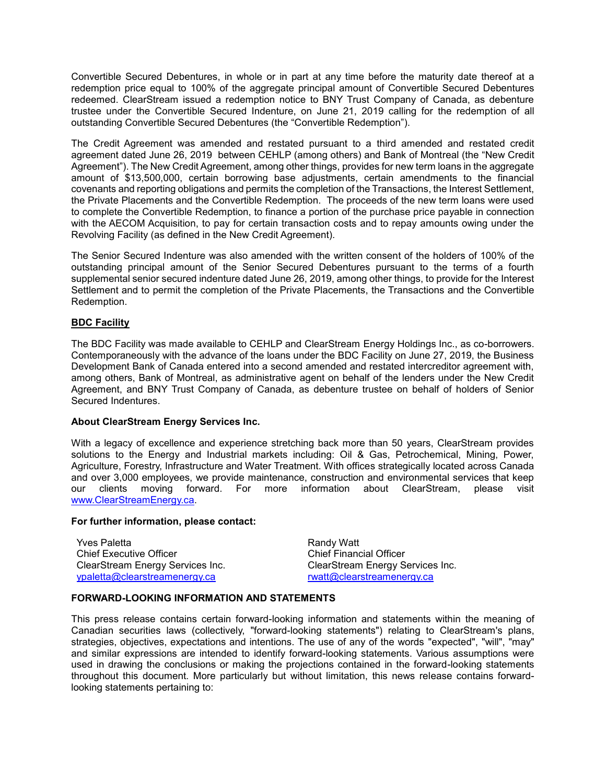Convertible Secured Debentures, in whole or in part at any time before the maturity date thereof at a redemption price equal to 100% of the aggregate principal amount of Convertible Secured Debentures redeemed. ClearStream issued a redemption notice to BNY Trust Company of Canada, as debenture trustee under the Convertible Secured Indenture, on June 21, 2019 calling for the redemption of all outstanding Convertible Secured Debentures (the "Convertible Redemption").

The Credit Agreement was amended and restated pursuant to a third amended and restated credit agreement dated June 26, 2019 between CEHLP (among others) and Bank of Montreal (the "New Credit Agreement"). The New Credit Agreement, among other things, provides for new term loans in the aggregate amount of \$13,500,000, certain borrowing base adjustments, certain amendments to the financial covenants and reporting obligations and permits the completion of the Transactions, the Interest Settlement, the Private Placements and the Convertible Redemption. The proceeds of the new term loans were used to complete the Convertible Redemption, to finance a portion of the purchase price payable in connection with the AECOM Acquisition, to pay for certain transaction costs and to repay amounts owing under the Revolving Facility (as defined in the New Credit Agreement).

The Senior Secured Indenture was also amended with the written consent of the holders of 100% of the outstanding principal amount of the Senior Secured Debentures pursuant to the terms of a fourth supplemental senior secured indenture dated June 26, 2019, among other things, to provide for the Interest Settlement and to permit the completion of the Private Placements, the Transactions and the Convertible Redemption.

## **BDC Facility**

The BDC Facility was made available to CEHLP and ClearStream Energy Holdings Inc., as co-borrowers. Contemporaneously with the advance of the loans under the BDC Facility on June 27, 2019, the Business Development Bank of Canada entered into a second amended and restated intercreditor agreement with, among others, Bank of Montreal, as administrative agent on behalf of the lenders under the New Credit Agreement, and BNY Trust Company of Canada, as debenture trustee on behalf of holders of Senior Secured Indentures.

### **About ClearStream Energy Services Inc.**

With a legacy of excellence and experience stretching back more than 50 years, ClearStream provides solutions to the Energy and Industrial markets including: Oil & Gas, Petrochemical, Mining, Power, Agriculture, Forestry, Infrastructure and Water Treatment. With offices strategically located across Canada and over 3,000 employees, we provide maintenance, construction and environmental services that keep our clients moving forward. For more information about ClearStream, please visit [www.ClearStreamEnergy.ca.](http://www.clearstreamenergy.ca/)

### **For further information, please contact:**

Yves Paletta Chief Executive Officer ClearStream Energy Services Inc. [ypaletta@clearstreamenergy.ca](mailto:ypaletta@clearstreamenergy.ca)

Randy Watt Chief Financial Officer ClearStream Energy Services Inc. [rwatt@clearstreamenergy.ca](mailto:rwatt@clearstreamenergy.ca)

### **FORWARD-LOOKING INFORMATION AND STATEMENTS**

This press release contains certain forward-looking information and statements within the meaning of Canadian securities laws (collectively, "forward-looking statements") relating to ClearStream's plans, strategies, objectives, expectations and intentions. The use of any of the words "expected", "will", "may" and similar expressions are intended to identify forward-looking statements. Various assumptions were used in drawing the conclusions or making the projections contained in the forward-looking statements throughout this document. More particularly but without limitation, this news release contains forwardlooking statements pertaining to: